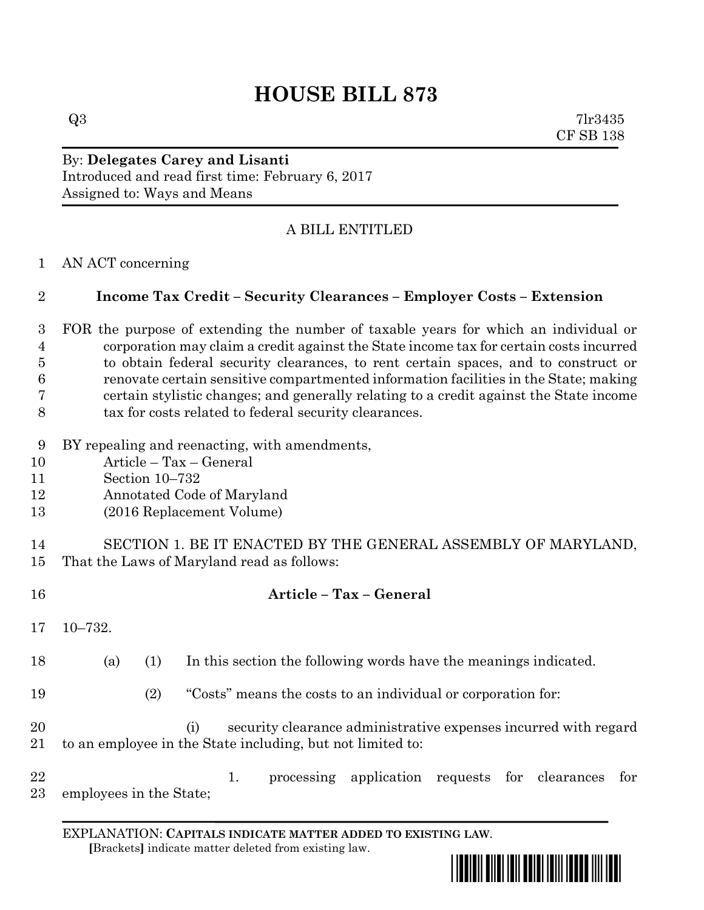# **HOUSE BILL 873**

 $Q3$  7lr3435 CF SB 138

By: **Delegates Carey and Lisanti** Introduced and read first time: February 6, 2017 Assigned to: Ways and Means

## A BILL ENTITLED

AN ACT concerning

## **Income Tax Credit – Security Clearances – Employer Costs – Extension**

 FOR the purpose of extending the number of taxable years for which an individual or corporation may claim a credit against the State income tax for certain costs incurred to obtain federal security clearances, to rent certain spaces, and to construct or renovate certain sensitive compartmented information facilities in the State; making certain stylistic changes; and generally relating to a credit against the State income tax for costs related to federal security clearances.

BY repealing and reenacting, with amendments,

**Article – Tax – General**

- Article Tax General
- Section 10–732
- Annotated Code of Maryland
- (2016 Replacement Volume)

 SECTION 1. BE IT ENACTED BY THE GENERAL ASSEMBLY OF MARYLAND, That the Laws of Maryland read as follows:

 10–732. (a) (1) In this section the following words have the meanings indicated. (2) "Costs" means the costs to an individual or corporation for: (i) security clearance administrative expenses incurred with regard to an employee in the State including, but not limited to: 22 1. processing application requests for clearances for employees in the State;

EXPLANATION: **CAPITALS INDICATE MATTER ADDED TO EXISTING LAW**.  **[**Brackets**]** indicate matter deleted from existing law.

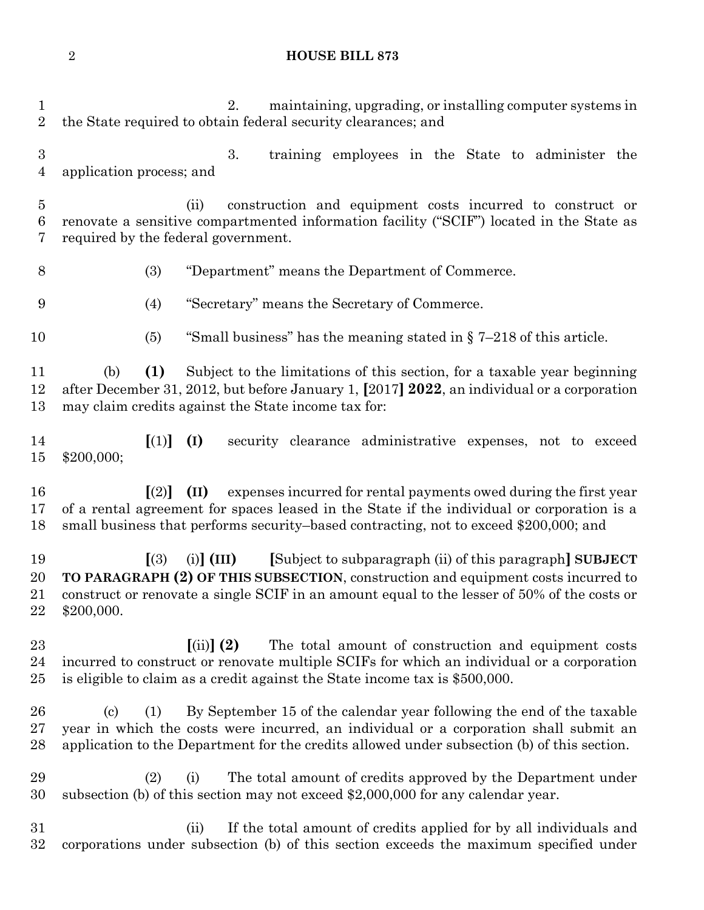#### **HOUSE BILL 873**

 2. maintaining, upgrading, or installing computer systems in the State required to obtain federal security clearances; and 3. training employees in the State to administer the application process; and (ii) construction and equipment costs incurred to construct or renovate a sensitive compartmented information facility ("SCIF") located in the State as required by the federal government. (3) "Department" means the Department of Commerce. (4) "Secretary" means the Secretary of Commerce. 10 (5) "Small business" has the meaning stated in  $\sqrt{5}$  7–218 of this article. (b) **(1)** Subject to the limitations of this section, for a taxable year beginning after December 31, 2012, but before January 1, **[**2017**] 2022**, an individual or a corporation may claim credits against the State income tax for: **[**(1)**] (I)** security clearance administrative expenses, not to exceed \$200,000; **[**(2)**] (II)** expenses incurred for rental payments owed during the first year of a rental agreement for spaces leased in the State if the individual or corporation is a small business that performs security–based contracting, not to exceed \$200,000; and **[**(3) (i)**] (III) [**Subject to subparagraph (ii) of this paragraph**] SUBJECT TO PARAGRAPH (2) OF THIS SUBSECTION**, construction and equipment costs incurred to construct or renovate a single SCIF in an amount equal to the lesser of 50% of the costs or \$200,000. **[**(ii)**] (2)** The total amount of construction and equipment costs incurred to construct or renovate multiple SCIFs for which an individual or a corporation is eligible to claim as a credit against the State income tax is \$500,000. (c) (1) By September 15 of the calendar year following the end of the taxable year in which the costs were incurred, an individual or a corporation shall submit an application to the Department for the credits allowed under subsection (b) of this section. (2) (i) The total amount of credits approved by the Department under subsection (b) of this section may not exceed \$2,000,000 for any calendar year. (ii) If the total amount of credits applied for by all individuals and corporations under subsection (b) of this section exceeds the maximum specified under